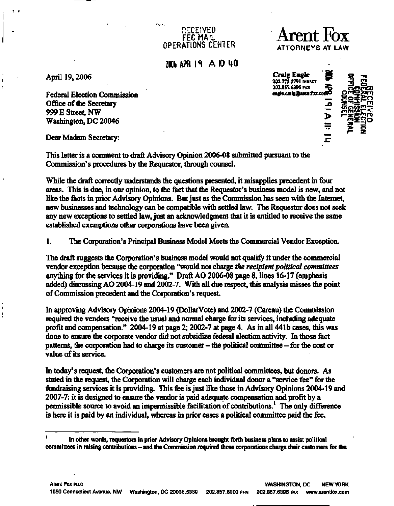## **DECEIVED FEC MAIL OPERATIONS CENTER**

ment.

**200b APR IS A ID HO** 

**April 19,2006** 

**Federal Election Commission Office of the Secretary 999 E Street, NW Washington, DC 20046**  Office of the Secretary<br>
999 E Street, NW<br>
Washington, DC 20046<br>
Dear Madam Secretary:<br>  $\frac{1}{\sqrt{1-\frac{1}{n}}}$ 

**This letter is a comment to draft Advisory Opinion 2006-08 submitted pursuant to the Commission's procedures by the Requestor, through counsel.** 

**While the draft correctly understands the questions presented, it misapplies precedent in four areas. This is due, in our opinion, to the fact that the Requestor's business model is new, and not like the facts in prior Advisory Opinions. But just as the Commission has seen with the Internet, new businesses and technology can be compatible with settled law. The Requestor does not seek any new exceptions to settled law, just an acknowledgment that it is entitled to receive the same established exemptions other corporations have been given.** 

**1. The Corporation's Principal Business Model Meets the Commercial Vendor Exception.** 

**The draft suggests the Corporation's business model would not qualify it under the commercial vendor exception because the corporation "would not charge** *the recipient political committees*  **anything for the services it is providing." Draft AO 2006-08 page 8, lines 16-17 (emphasis added) discussing AO 2004-19 and 2002-7. With all due respect, this analysis misses the point of Commission precedent and the Corporation's request.** 

**In approving Advisory Opinions 2004-19 (DollarVote) and 2002-7 (Careau) the Commission required the vendors ''receive the usual and normal charge for its services, including adequate profit and compensation." 2004-19 at page 2; 2002-7 at page 4. As in all 441b cases, this was done to ensure the corporate vendor did not subsidize federal election activity. In those fact patterns, the corporation had to charge its customer - the political committee - for the cost or value of its service.** 

**In today's request, the Corporation's customers are not political committees, but donors. As stated in the request, the Corporation will charge each individual donor a "service fee" for the fundraising services it is providing. This fee is just like those in Advisory Opinions 2004-19 and 2007-7: it is designed to ensure the vendor is paid adequate compensation and profit by a permissible source to avoid an impermissible facilitation of contributions.<sup>1</sup> The only difference is here it is paid by an individual, whereas in prior cases a political committee paid the fee.** 

**Craig Engle** 202.773.5791 **DIRECT**<br>202.857.6395 PAX **202.857.6395 FAX 2g oOPicr j** 





<sup>1</sup> In other words, requestors in prior Advisory Opinions brought forth business plans to assist political committees in raising contributions - and the Commission required those corporations charge their customers for the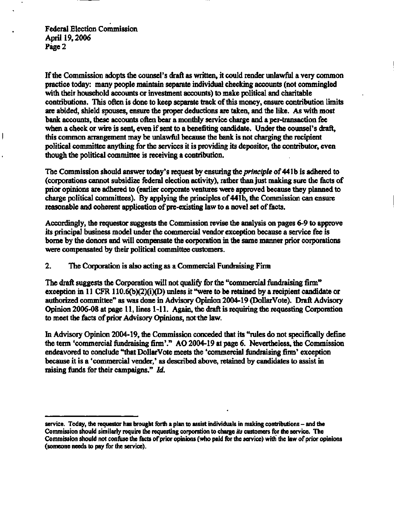**Federal Election Commission April 19,2006 Page 2** 

I

**If the Commission adopts the counsel's draft as written, it could render unlawful a very common practice today: many people maintain separate individual checking accounts (not commingled with their household accounts or investment accounts) to make political and charitable contributions. This often is done to keep separate track of this money, ensure contribution limits are abided, shield spouses, ensure the proper deductions are taken, and the like. As with most bank accounts, these accounts often bear a monthly service charge and a per-transaction fee when a check or wire is sent, even if sent to a benefiting candidate. Under the counsel's draft, this common arrangement may be unlawful because the bank is not charging the recipient political committee anything for the services it is providing its depositor, the contributor, even though the political committee is receiving a contribution.** 

**The Commission should answer today's request by ensuring** *the principle* **of 441b is adhered to (corporations cannot subsidize federal election activity), rather than just making sure the facts of prior opinions are adhered to (earlier corporate ventures were approved because they planned to charge political committees). By applying the principles of 441b, the Commission can ensure reasonable and coherent application of pre-existing law to a novel set of facts.** 

**Accordingly, the requestor suggests the Commission revise the analysis on pages 6-9 to approve its principal business model under the commercial vendor exception because a service fee is borne by the donors and will compensate the corporation in the same manner prior corporations were compensated by their political committee customers.** 

**2. The Corporation is also acting as a Commercial Fundraising Firm** 

**The draft suggests the Corporation will not qualify for the "commercial fundraising firm" exception in 11 CFR 110.6(b)(2)(i)(D) unless it "were to be retained by a recipient candidate or authorized committee" as was done in Advisory Opinion 2004-19 (DollarVote). Draft Advisory Opinion 2006-08 at page 11, lines 1-11. Again, the draft is requiring the requesting Corporation to meet the facts of prior Advisory Opinions, not the law.** 

**In Advisory Opinion 2004-19, the Commission conceded that its "rules do not specifically define the term "commercial fundraising firm'." AO 2004-19 at page 6. Nevertheless, the Commission endeavored to conclude "that DollarVote meets the "commercial fundraising firm' exception because it is a 'commercial vender,' as described above, retained by candidates to assist in raising funds for their campaigns."** *Id.* 

**service. Today, the requestor has brought forth a plan to assist individuals in making contributions - and the Commission should similarly require the requesting corporation to charge** *its* **customers for the service. The Commission should not confuse the facts of prior opinions (who paid for the service) with the law of prior opinions (someone needs to pay for the service).**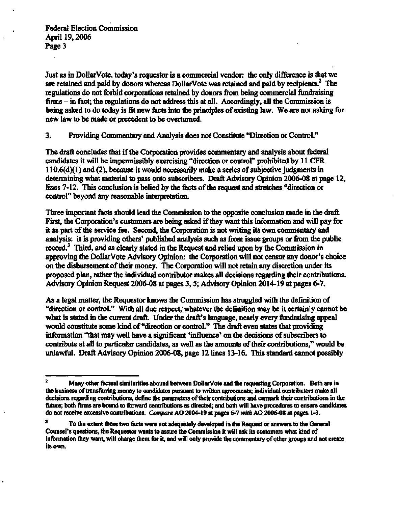**Federal Election Commission April 19,2006 Page 3** 

**Just as in DollarVote, today's requestor is a commercial vendor: the only difference is that we are retained and paid by donors whereas DollarVote was retained and paid by recipients. The regulations do not forbid corporations retained by donors from being commercial fundraising firms - in fact; the regulations do not address this at all. Accordingly, all the Commission is being asked to do today is fit new facts into the principles of existing law. We are not asking for new law to be made or precedent to be overturned.** 

**3. Providing Commentary and Analysis does not Constitute "Direction or Control."** 

**The draft concludes that if the Corporation provides commentary and analysis about federal candidates it will be impermissibly exercising "direction or control" prohibited by 11 CFR 110.6(d)(1) and (2), because it would necessarily make a series of subjective judgments in determining what material to pass onto subscribers. Draft Advisory Opinion 2006-08 at page 12, lines 7-12. This conclusion is belied by the facts of the request and stretches "direction or control" beyond any reasonable interpretation.** 

**Three important facts should lead the Commission to the opposite conclusion made in the draft. First, the Corporation's customers are being asked if they want this information and will pay for it as part of the service fee. Second, the Corporation is not writing its own commentary and analysis: it is providing others' published analysis such as from issue groups or from the public record.<sup>3</sup> Third, and as clearly stated in the Request and relied upon by the Commission in approving the DollarVote Advisory Opinion: the Corporation will not censor any donor's choice on the disbursement of their money. The Corporation will not retain any discretion under its proposed plan, rather the individual contributor makes all decisions regarding their contributions. Advisory Opinion Request 2006-08 at pages 3,5; Advisory Opinion 2014-19 at pages 6-7.** 

**As a legal matter, the Requestor knows the Commission has struggled with the definition of "direction or control." With all due respect, whatever the definition may be it certainly cannot be what is stated in the current draft. Under the draft's language, nearly every fundraising appeal would constitute some kind of "direction or control." The draft even states that providing information "that may well have a significant 'influence' on the decisions of subscribers to contribute at all to particular candidates, as well as the amounts of their contributions," would be unlawful. Draft Advisory Opinion 2006-08, page 12 lines 13-16. This standard cannot possibly** 

**Many other factual similarities abound between DollarVote and the requesting Corporation. Both are in the business of transferring money to candidates pursuant to written agreements; individual contributors make all decisions regarding contributions, define the parameters of their contributions and earmark their contributions in the future; both firms are bound to forward contributions as directed; and both will have procedures to ensure candidates do not receive excessive contributions.** *Compare* **AO 2004-19 at pages 6-7** *with* **AO 2006-08 at pages 1-3.** 

**<sup>3</sup> To the extent these two facts were not adequately developed in the Request or answers to the General Counsel's questions, the Requestor wants to assure the Commission it will ask its customers what kind of information they want, will charge them for it, and will only provide the commentary of other groups and not create its own.**